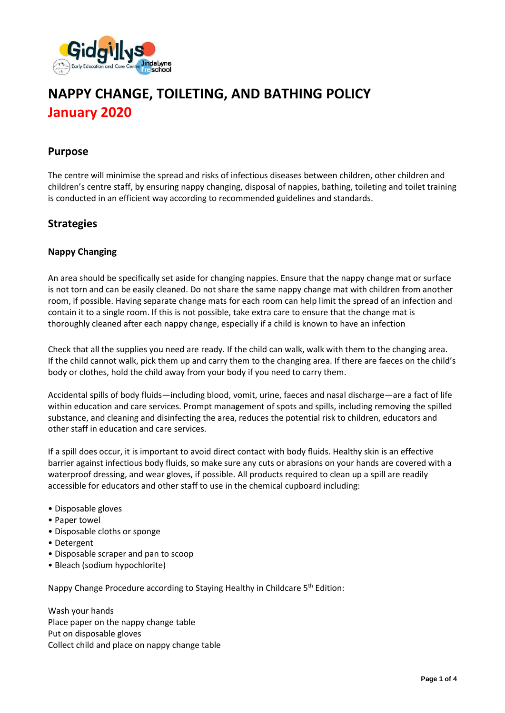

# **NAPPY CHANGE, TOILETING, AND BATHING POLICY January 2020**

#### **Purpose**

The centre will minimise the spread and risks of infectious diseases between children, other children and children's centre staff, by ensuring nappy changing, disposal of nappies, bathing, toileting and toilet training is conducted in an efficient way according to recommended guidelines and standards.

## **Strategies**

#### **Nappy Changing**

An area should be specifically set aside for changing nappies. Ensure that the nappy change mat or surface is not torn and can be easily cleaned. Do not share the same nappy change mat with children from another room, if possible. Having separate change mats for each room can help limit the spread of an infection and contain it to a single room. If this is not possible, take extra care to ensure that the change mat is thoroughly cleaned after each nappy change, especially if a child is known to have an infection

Check that all the supplies you need are ready. If the child can walk, walk with them to the changing area. If the child cannot walk, pick them up and carry them to the changing area. If there are faeces on the child's body or clothes, hold the child away from your body if you need to carry them.

Accidental spills of body fluids—including blood, vomit, urine, faeces and nasal discharge—are a fact of life within education and care services. Prompt management of spots and spills, including removing the spilled substance, and cleaning and disinfecting the area, reduces the potential risk to children, educators and other staff in education and care services.

If a spill does occur, it is important to avoid direct contact with body fluids. Healthy skin is an effective barrier against infectious body fluids, so make sure any cuts or abrasions on your hands are covered with a waterproof dressing, and wear gloves, if possible. All products required to clean up a spill are readily accessible for educators and other staff to use in the chemical cupboard including:

- Disposable gloves
- Paper towel
- Disposable cloths or sponge
- Detergent
- Disposable scraper and pan to scoop
- Bleach (sodium hypochlorite)

Nappy Change Procedure according to Staying Healthy in Childcare 5<sup>th</sup> Edition:

Wash your hands Place paper on the nappy change table Put on disposable gloves Collect child and place on nappy change table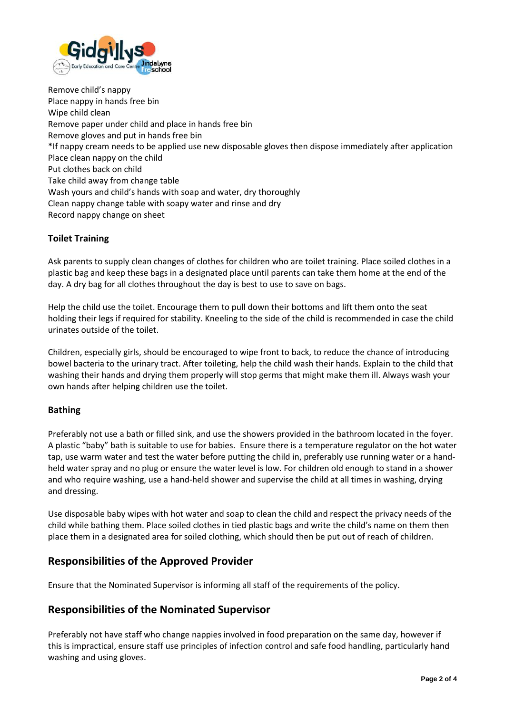

Remove child's nappy Place nappy in hands free bin Wipe child clean Remove paper under child and place in hands free bin Remove gloves and put in hands free bin \*If nappy cream needs to be applied use new disposable gloves then dispose immediately after application Place clean nappy on the child Put clothes back on child Take child away from change table Wash yours and child's hands with soap and water, dry thoroughly Clean nappy change table with soapy water and rinse and dry Record nappy change on sheet

#### **Toilet Training**

Ask parents to supply clean changes of clothes for children who are toilet training. Place soiled clothes in a plastic bag and keep these bags in a designated place until parents can take them home at the end of the day. A dry bag for all clothes throughout the day is best to use to save on bags.

Help the child use the toilet. Encourage them to pull down their bottoms and lift them onto the seat holding their legs if required for stability. Kneeling to the side of the child is recommended in case the child urinates outside of the toilet.

Children, especially girls, should be encouraged to wipe front to back, to reduce the chance of introducing bowel bacteria to the urinary tract. After toileting, help the child wash their hands. Explain to the child that washing their hands and drying them properly will stop germs that might make them ill. Always wash your own hands after helping children use the toilet.

#### **Bathing**

Preferably not use a bath or filled sink, and use the showers provided in the bathroom located in the foyer. A plastic "baby" bath is suitable to use for babies. Ensure there is a temperature regulator on the hot water tap, use warm water and test the water before putting the child in, preferably use running water or a handheld water spray and no plug or ensure the water level is low. For children old enough to stand in a shower and who require washing, use a hand-held shower and supervise the child at all times in washing, drying and dressing.

Use disposable baby wipes with hot water and soap to clean the child and respect the privacy needs of the child while bathing them. Place soiled clothes in tied plastic bags and write the child's name on them then place them in a designated area for soiled clothing, which should then be put out of reach of children.

## **Responsibilities of the Approved Provider**

Ensure that the Nominated Supervisor is informing all staff of the requirements of the policy.

#### **Responsibilities of the Nominated Supervisor**

Preferably not have staff who change nappies involved in food preparation on the same day, however if this is impractical, ensure staff use principles of infection control and safe food handling, particularly hand washing and using gloves.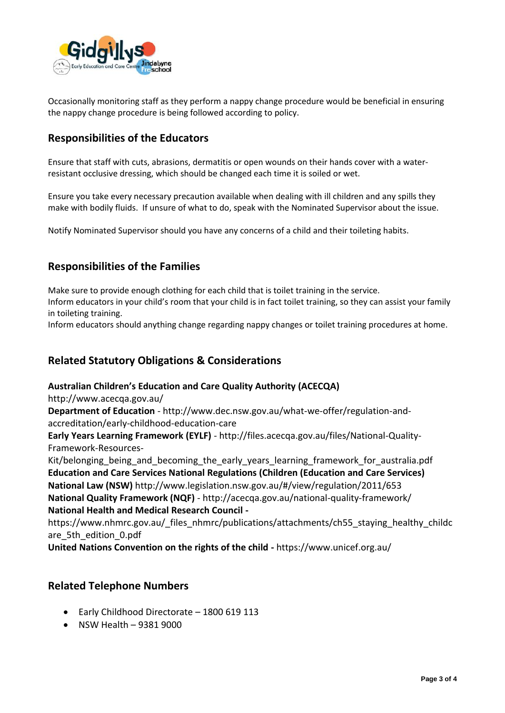

Occasionally monitoring staff as they perform a nappy change procedure would be beneficial in ensuring the nappy change procedure is being followed according to policy.

## **Responsibilities of the Educators**

Ensure that staff with cuts, abrasions, dermatitis or open wounds on their hands cover with a waterresistant occlusive dressing, which should be changed each time it is soiled or wet.

Ensure you take every necessary precaution available when dealing with ill children and any spills they make with bodily fluids. If unsure of what to do, speak with the Nominated Supervisor about the issue.

Notify Nominated Supervisor should you have any concerns of a child and their toileting habits.

## **Responsibilities of the Families**

Make sure to provide enough clothing for each child that is toilet training in the service.

Inform educators in your child's room that your child is in fact toilet training, so they can assist your family in toileting training.

Inform educators should anything change regarding nappy changes or toilet training procedures at home.

## **Related Statutory Obligations & Considerations**

#### **Australian Children's Education and Care Quality Authority (ACECQA)**

http://www.acecqa.gov.au/

**Department of Education** - http://www.dec.nsw.gov.au/what-we-offer/regulation-andaccreditation/early-childhood-education-care

**Early Years Learning Framework (EYLF)** - http://files.acecqa.gov.au/files/National-Quality-Framework-Resources-

Kit/belonging being and becoming the early years learning framework for australia.pdf **Education and Care Services National Regulations (Children (Education and Care Services) National Law (NSW)** http://www.legislation.nsw.gov.au/#/view/regulation/2011/653 **National Quality Framework (NQF)** - http://acecqa.gov.au/national-quality-framework/ **National Health and Medical Research Council -**

https://www.nhmrc.gov.au/\_files\_nhmrc/publications/attachments/ch55\_staying\_healthy\_childc are 5th edition 0.pdf

**United Nations Convention on the rights of the child -** https://www.unicef.org.au/

## **Related Telephone Numbers**

- Early Childhood Directorate 1800 619 113
- NSW Health 9381 9000